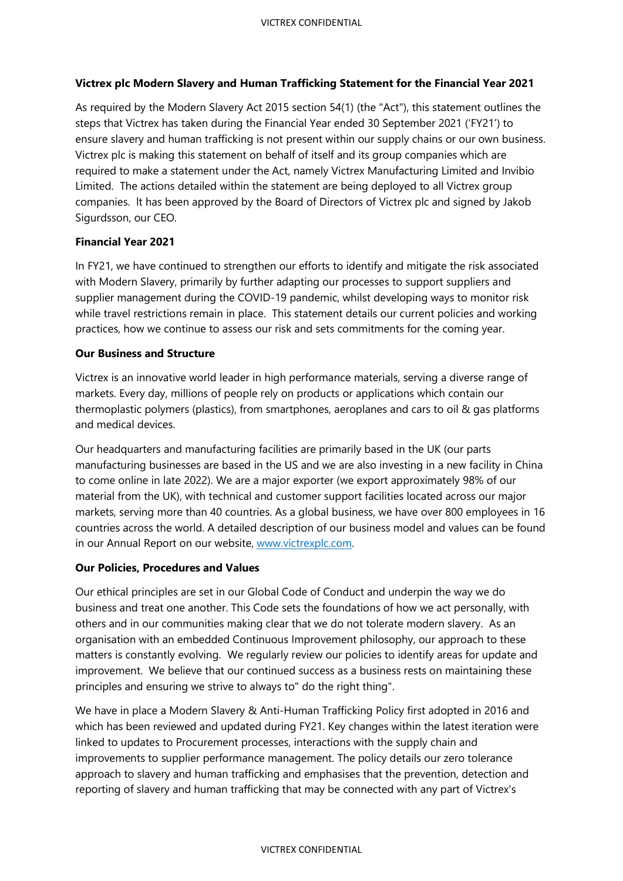# **Victrex plc Modern Slavery and Human Trafficking Statement for the Financial Year 2021**

As required by the Modern Slavery Act 2015 section 54(1) (the "Act"), this statement outlines the steps that Victrex has taken during the Financial Year ended 30 September 2021 ('FY21') to ensure slavery and human trafficking is not present within our supply chains or our own business. Victrex plc is making this statement on behalf of itself and its group companies which are required to make a statement under the Act, namely Victrex Manufacturing Limited and Invibio Limited. The actions detailed within the statement are being deployed to all Victrex group companies. lt has been approved by the Board of Directors of Victrex plc and signed by Jakob Sigurdsson, our CEO.

# **Financial Year 2021**

In FY21, we have continued to strengthen our efforts to identify and mitigate the risk associated with Modern Slavery, primarily by further adapting our processes to support suppliers and supplier management during the COVID-19 pandemic, whilst developing ways to monitor risk while travel restrictions remain in place. This statement details our current policies and working practices, how we continue to assess our risk and sets commitments for the coming year.

## **Our Business and Structure**

Victrex is an innovative world leader in high performance materials, serving a diverse range of markets. Every day, millions of people rely on products or applications which contain our thermoplastic polymers (plastics), from smartphones, aeroplanes and cars to oil & gas platforms and medical devices.

Our headquarters and manufacturing facilities are primarily based in the UK (our parts manufacturing businesses are based in the US and we are also investing in a new facility in China to come online in late 2022). We are a major exporter (we export approximately 98% of our material from the UK), with technical and customer support facilities located across our major markets, serving more than 40 countries. As a global business, we have over 800 employees in 16 countries across the world. A detailed description of our business model and values can be found in our Annual Report on our website, [www.victrexplc.com.](http://www.victrexplc.com/) 

# **Our Policies, Procedures and Values**

Our ethical principles are set in our Global Code of Conduct and underpin the way we do business and treat one another. This Code sets the foundations of how we act personally, with others and in our communities making clear that we do not tolerate modern slavery. As an organisation with an embedded Continuous Improvement philosophy, our approach to these matters is constantly evolving. We regularly review our policies to identify areas for update and improvement. We believe that our continued success as a business rests on maintaining these principles and ensuring we strive to always to" do the right thing".

We have in place a Modern Slavery & Anti-Human Trafficking Policy first adopted in 2016 and which has been reviewed and updated during FY21. Key changes within the latest iteration were linked to updates to Procurement processes, interactions with the supply chain and improvements to supplier performance management. The policy details our zero tolerance approach to slavery and human trafficking and emphasises that the prevention, detection and reporting of slavery and human trafficking that may be connected with any part of Victrex's

#### VICTREX CONFIDENTIAL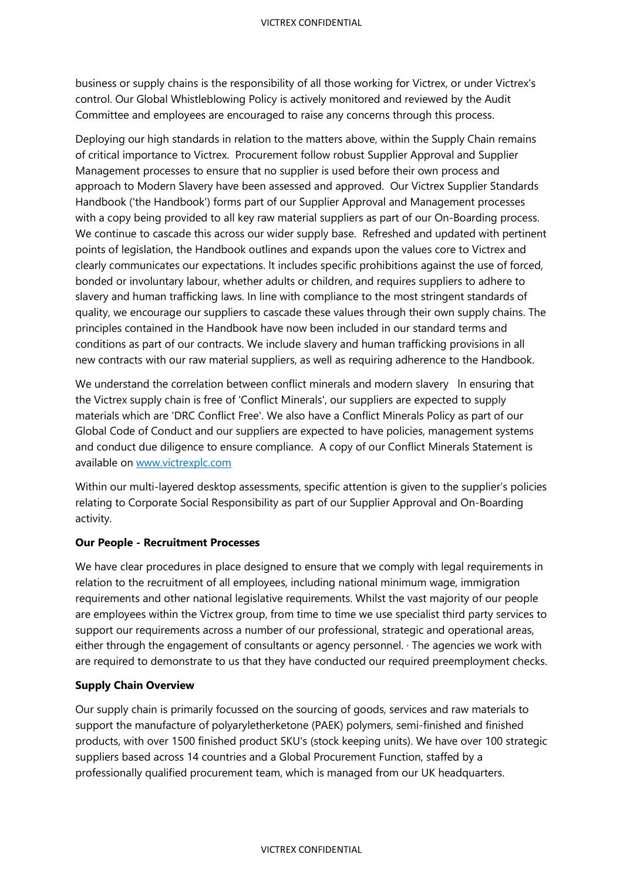business or supply chains is the responsibility of all those working for Victrex, or under Victrex's control. Our Global Whistleblowing Policy is actively monitored and reviewed by the Audit Committee and employees are encouraged to raise any concerns through this process.

Deploying our high standards in relation to the matters above, within the Supply Chain remains of critical importance to Victrex. Procurement follow robust Supplier Approval and Supplier Management processes to ensure that no supplier is used before their own process and approach to Modern Slavery have been assessed and approved. Our Victrex Supplier Standards Handbook ('the Handbook') forms part of our Supplier Approval and Management processes with a copy being provided to all key raw material suppliers as part of our On-Boarding process. We continue to cascade this across our wider supply base. Refreshed and updated with pertinent points of legislation, the Handbook outlines and expands upon the values core to Victrex and clearly communicates our expectations. lt includes specific prohibitions against the use of forced, bonded or involuntary labour, whether adults or children, and requires suppliers to adhere to slavery and human trafficking laws. In line with compliance to the most stringent standards of quality, we encourage our suppliers to cascade these values through their own supply chains. The principles contained in the Handbook have now been included in our standard terms and conditions as part of our contracts. We include slavery and human trafficking provisions in all new contracts with our raw material suppliers, as well as requiring adherence to the Handbook.

We understand the correlation between conflict minerals and modern slavery In ensuring that the Victrex supply chain is free of 'Conflict Minerals', our suppliers are expected to supply materials which are 'DRC Conflict Free'. We also have a Conflict Minerals Policy as part of our Global Code of Conduct and our suppliers are expected to have policies, management systems and conduct due diligence to ensure compliance. A copy of our Conflict Minerals Statement is available on [www.victrexplc.com](https://eur01.safelinks.protection.outlook.com/?url=http%3A%2F%2Fwww.victrexplc.com%2F&data=04%7C01%7Cpaul.breakwell%40victrex.com%7C18522a05e2a04842777a08d9ab6bc084%7C8b5cc50fa14944bd9ddc9d27ea6d720e%7C0%7C0%7C637729301690905321%7CUnknown%7CTWFpbGZsb3d8eyJWIjoiMC4wLjAwMDAiLCJQIjoiV2luMzIiLCJBTiI6Ik1haWwiLCJXVCI6Mn0%3D%7C3000&sdata=QIW39JcZPzI7He0Jp9u9TqEASYZwNtRxhd0ksaLQo9k%3D&reserved=0)

Within our multi-layered desktop assessments, specific attention is given to the supplier's policies relating to Corporate Social Responsibility as part of our Supplier Approval and On-Boarding activity.

#### **Our People - Recruitment Processes**

We have clear procedures in place designed to ensure that we comply with legal requirements in relation to the recruitment of all employees, including national minimum wage, immigration requirements and other national legislative requirements. Whilst the vast majority of our people are employees within the Victrex group, from time to time we use specialist third party services to support our requirements across a number of our professional, strategic and operational areas, either through the engagement of consultants or agency personnel. · The agencies we work with are required to demonstrate to us that they have conducted our required preemployment checks.

# **Supply Chain Overview**

Our supply chain is primarily focussed on the sourcing of goods, services and raw materials to support the manufacture of polyaryletherketone (PAEK) polymers, semi-finished and finished products, with over 1500 finished product SKU's (stock keeping units). We have over 100 strategic suppliers based across 14 countries and a Global Procurement Function, staffed by a professionally qualified procurement team, which is managed from our UK headquarters.